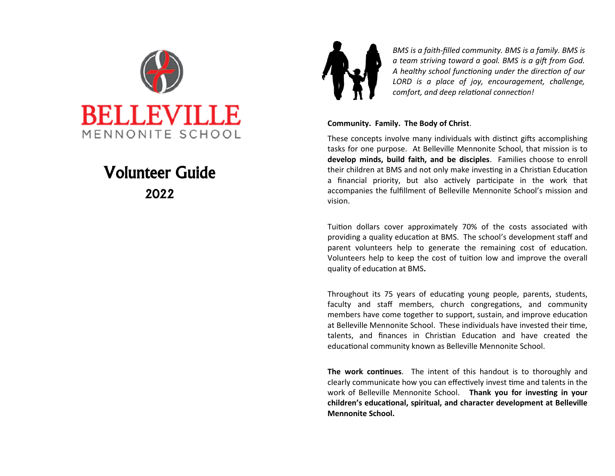

# Volunteer Guide 2022



*BMS is a faith-filled community. BMS is a family. BMS is a team striving toward a goal. BMS is a gift from God. A healthy school functioning under the direction of our LORD is a place of joy, encouragement, challenge, comfort, and deep relational connection!*

#### **Community. Family. The Body of Christ**.

These concepts involve many individuals with distinct gifts accomplishing tasks for one purpose. At Belleville Mennonite School, that mission is to **develop minds, build faith, and be disciples**. Families choose to enroll their children at BMS and not only make investing in a Christian Education a financial priority, but also actively participate in the work that accompanies the fulfillment of Belleville Mennonite School's mission and vision.

Tuition dollars cover approximately 70% of the costs associated with providing a quality education at BMS. The school's development staff and parent volunteers help to generate the remaining cost of education. Volunteers help to keep the cost of tuition low and improve the overall quality of education at BMS**.** 

Throughout its 75 years of educating young people, parents, students, faculty and staff members, church congregations, and community members have come together to support, sustain, and improve education at Belleville Mennonite School. These individuals have invested their time, talents, and finances in Christian Education and have created the educational community known as Belleville Mennonite School.

**The work continues**. The intent of this handout is to thoroughly and clearly communicate how you can effectively invest time and talents in the work of Belleville Mennonite School. **Thank you for investing in your children's educational, spiritual, and character development at Belleville Mennonite School.**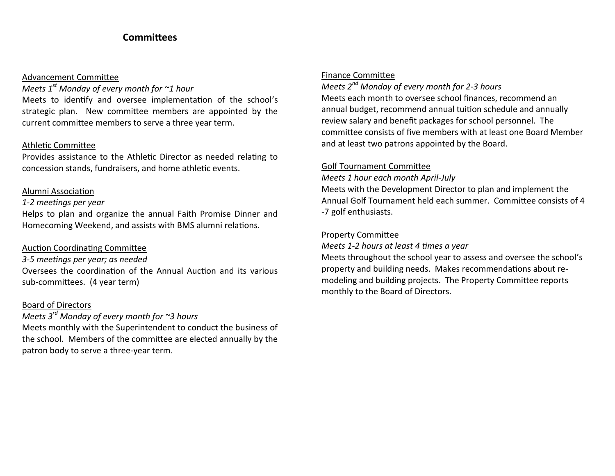# **Committees**

#### Advancement Committee

### *Meets 1st Monday of every month for ~1 hour*

Meets to identify and oversee implementation of the school's strategic plan. New committee members are appointed by the current committee members to serve a three year term.

### Athletic Committee

Provides assistance to the Athletic Director as needed relating to concession stands, fundraisers, and home athletic events.

### Alumni Association

### *1-2 meetings per year*

Helps to plan and organize the annual Faith Promise Dinner and Homecoming Weekend, and assists with BMS alumni relations.

### Auction Coordinating Committee

*3-5 meetings per year; as needed* Oversees the coordination of the Annual Auction and its various sub-committees. (4 year term)

### Board of Directors

# *Meets 3rd Monday of every month for ~3 hours*

Meets monthly with the Superintendent to conduct the business of the school. Members of the committee are elected annually by the patron body to serve a three-year term.

# Finance Committee

# *Meets 2nd Monday of every month for 2-3 hours* Meets each month to oversee school finances, recommend an

annual budget, recommend annual tuition schedule and annually review salary and benefit packages for school personnel. The committee consists of five members with at least one Board Member and at least two patrons appointed by the Board.

### Golf Tournament Committee

*Meets 1 hour each month April-July*

Meets with the Development Director to plan and implement the Annual Golf Tournament held each summer. Committee consists of 4 -7 golf enthusiasts.

# Property Committee

*Meets 1-2 hours at least 4 times a year*

Meets throughout the school year to assess and oversee the school's property and building needs. Makes recommendations about remodeling and building projects. The Property Committee reports monthly to the Board of Directors.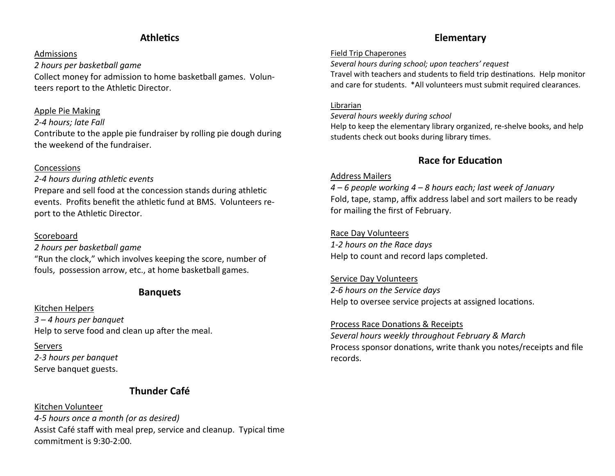# **Athletics**

### Admissions

*2 hours per basketball game* Collect money for admission to home basketball games. Volunteers report to the Athletic Director.

### Apple Pie Making

#### *2-4 hours; late Fall*

Contribute to the apple pie fundraiser by rolling pie dough during the weekend of the fundraiser.

### Concessions

### *2-4 hours during athletic events*

Prepare and sell food at the concession stands during athletic events. Profits benefit the athletic fund at BMS. Volunteers report to the Athletic Director.

### Scoreboard

#### *2 hours per basketball game*

"Run the clock," which involves keeping the score, number of fouls, possession arrow, etc., at home basketball games.

# **Banquets**

### Kitchen Helpers *3 – 4 hours per banquet* Help to serve food and clean up after the meal.

Servers *2-3 hours per banquet* Serve banquet guests.

# **Thunder Café**

# Kitchen Volunteer *4-5 hours once a month (or as desired)* Assist Café staff with meal prep, service and cleanup. Typical time commitment is 9:30-2:00.

# **Elementary**

#### Field Trip Chaperones

*Several hours during school; upon teachers' request* Travel with teachers and students to field trip destinations. Help monitor and care for students. \*All volunteers must submit required clearances.

#### Librarian

*Several hours weekly during school*

Help to keep the elementary library organized, re-shelve books, and help students check out books during library times.

# **Race for Education**

### Address Mailers

*4 – 6 people working 4 – 8 hours each; last week of January* Fold, tape, stamp, affix address label and sort mailers to be ready for mailing the first of February.

### Race Day Volunteers

*1-2 hours on the Race days* Help to count and record laps completed.

### Service Day Volunteers *2-6 hours on the Service days* Help to oversee service projects at assigned locations.

### Process Race Donations & Receipts

*Several hours weekly throughout February & March* Process sponsor donations, write thank you notes/receipts and file records.